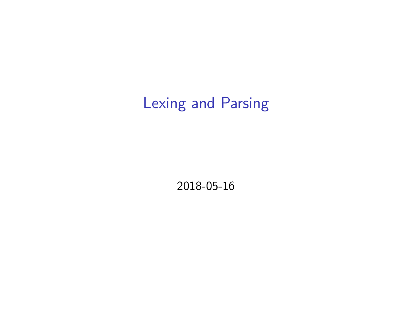# Lexing and Parsing

2018-05-16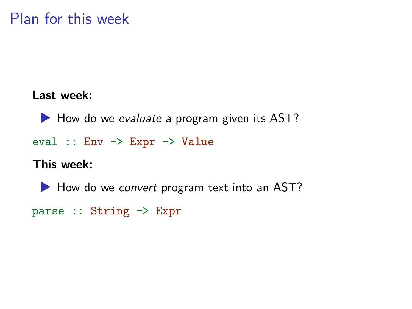# Plan for this week

#### **Last week:**

▶ How do we *evaluate* a program given its AST? eval :: Env -> Expr -> Value **This week:**

▶ How do we *convert* program text into an AST?

```
parse :: String -> Expr
```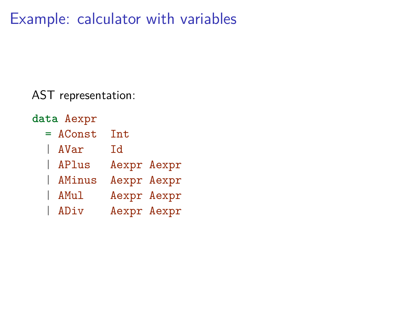Example: calculator with variables

AST representation:

- **data** Aexpr
	- = AConst Int
	- | AVar Id
	- | APlus Aexpr Aexpr
	- | AMinus Aexpr Aexpr
	- AMul Aexpr Aexpr
	- | ADiv Aexpr Aexpr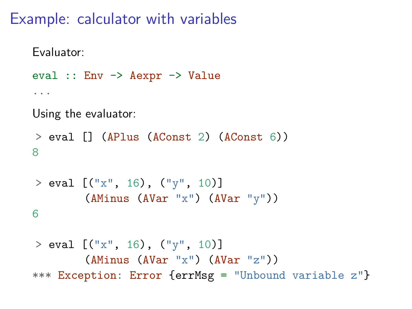# Example: calculator with variables

```
Evaluator:
eval :: Env -> Aexpr -> Value
...
Using the evaluator:
> eval [] (APlus (AConst 2) (AConst 6))
8
> eval [("x", 16), ("y", 10)](AMinus (AVar "x") (AVar "y"))
```
6

```
> eval [("\mathbf{x}", 16), ("\mathbf{y}", 10)]
         (AMinus (AVar "x") (AVar "z"))
*** Exception: Error {errMsg = "Unbound variable z"}
```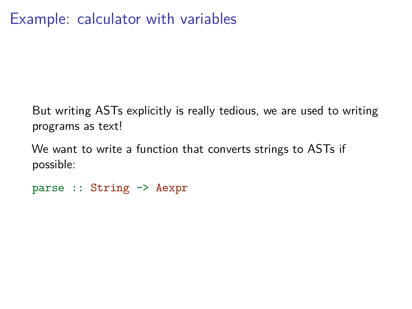But writing ASTs explicitly is really tedious, we are used to writing programs as text!

We want to write a function that converts strings to ASTs if possible:

```
parse :: String -> Aexpr
```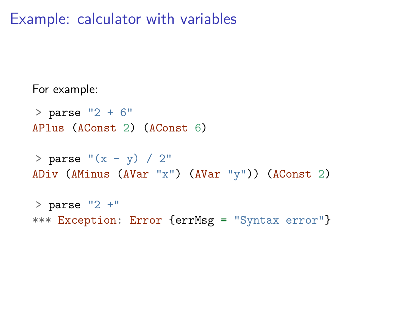#### Example: calculator with variables

For example:

 $>$  parse  $"2 + 6"$ APlus (AConst 2) (AConst 6)

 $>$  parse " $(x - y) / 2$ " ADiv (AMinus (AVar "x") (AVar "y")) (AConst 2)

 $>$  parse  $"2 +"$ \*\*\* Exception: Error {errMsg = "Syntax error"}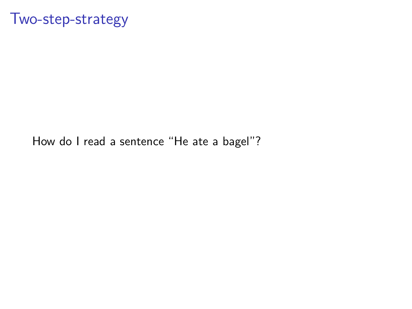#### Two-step-strategy

How do I read a sentence "He ate a bagel"?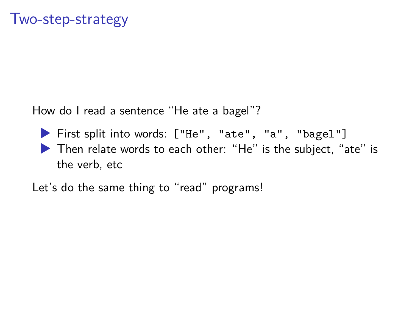How do I read a sentence "He ate a bagel"?

▶ First split into words: ["He", "ate", "a", "bagel"] ▶ Then relate words to each other: "He" is the subject, "ate" is the verb, etc

Let's do the same thing to "read" programs!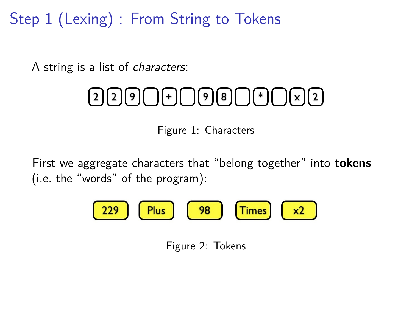Step 1 (Lexing) : From String to Tokens

A string is a list of *characters*:

# $[2][2][9]$   $[+]$   $[9][8]$   $[$   $[$   $[$   $\lceil$   $\lceil$   $\lceil$   $\lceil$   $\lceil$   $\lceil$   $\lceil$   $\lceil$   $\lceil$   $\lceil$   $\lceil$   $\lceil$   $\lceil$   $\lceil$   $\lceil$   $\lceil$   $\lceil$   $\lceil$   $\lceil$   $\lceil$   $\lceil$   $\lceil$   $\lceil$   $\lceil$   $\lceil$   $\lceil$   $\lceil$   $\lceil$   $\lceil$   $\lceil$   $\lceil$

Figure 1: Characters

First we aggregate characters that "belong together" into **tokens** (i.e. the "words" of the program):

Figure 2: Tokens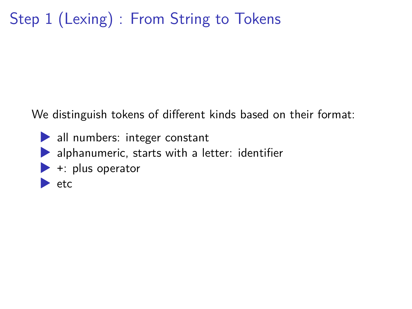# Step 1 (Lexing) : From String to Tokens

We distinguish tokens of different kinds based on their format:

- ▶ all numbers: integer constant
- $\blacktriangleright$  alphanumeric, starts with a letter: identifier
- $\blacktriangleright$  +: plus operator
- $\blacktriangleright$  etc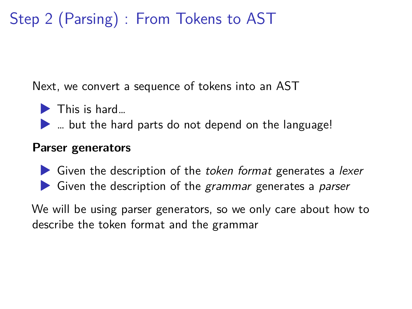# Step 2 (Parsing) : From Tokens to AST

Next, we convert a sequence of tokens into an AST

- $\blacktriangleright$  This is hard...
- $\blacktriangleright$  ... but the hard parts do not depend on the language!

#### **Parser generators**

▶ Given the description of the *token format* generates a *lexer* ▶ Given the description of the *grammar* generates a *parser*

We will be using parser generators, so we only care about how to describe the token format and the grammar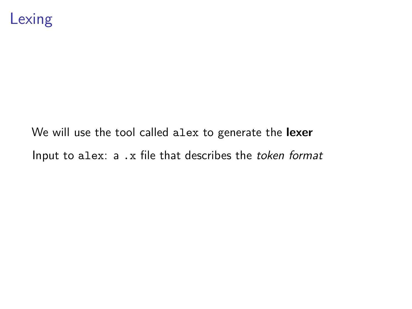We will use the tool called alex to generate the **lexer** Input to alex: a .x file that describes the *token format*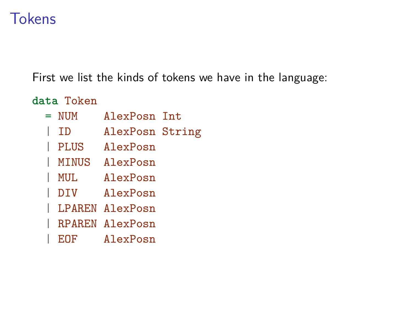# **Tokens**

First we list the kinds of tokens we have in the language:

**data** Token

- = NUM AlexPosn Int
- | ID AlexPosn String
- | PLUS AlexPosn
- | MINUS AlexPosn
- | MUL AlexPosn
- | DIV AlexPosn
- | LPAREN AlexPosn
- | RPAREN AlexPosn
- | EOF AlexPosn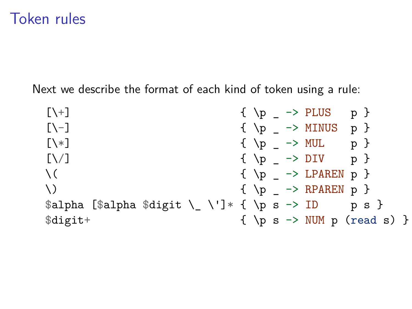# Token rules

Next we describe the format of each kind of token using a rule:

| $[\n\lambda +]$                                      | $\{ \pmb{\downarrow} \}$ -> PLUS p }                                                                                        |
|------------------------------------------------------|-----------------------------------------------------------------------------------------------------------------------------|
| $[\lambda-]$                                         | $\{ \pmb{\downarrow} \}$ -> MINUS p }                                                                                       |
| $[\n\ \times]$                                       | $\{ \pmb{\downarrow} \}$ $\rightarrow$ MUL p $\}$                                                                           |
| N/1                                                  | $\{ \begin{array}{ccc} \n\begin{array}{ccc} \n\end{array} \n\end{array} \right)$ $\{ \begin{array}{ccc} \n\end{array} \n\}$ |
| $\setminus$ (                                        | $\{ \pmb{\downarrow} \}$ -> LPAREN p }                                                                                      |
| $\setminus$                                          | $\{ \pmb{\downarrow} \}$ -> RPAREN p }                                                                                      |
| \$alpha [\$alpha \$digit \ \ \']* { \p s -> ID p s } |                                                                                                                             |
| \$digit+                                             | $\{ \pmb{\rho} \mid \mathbf{s} \rightarrow \text{NUM } \mathbf{p} \text{ (read } \mathbf{s}) \}$                            |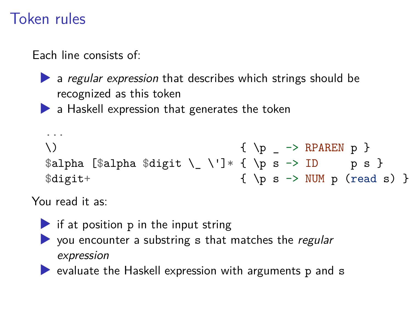# Token rules

Each line consists of:

▶ a *regular expression* that describes which strings should be recognized as this token

 $\blacktriangleright$  a Haskell expression that generates the token

```
...
\{\ \pmb{\rangle} \ \{\ \pmb{\rangle} \}\alpha [$alpha $digit \_ \']* { \p s -> ID p s }
\text{digit+} { \p s -> NUM p (read s) }
```
You read it as:

- $\triangleright$  if at position p in the input string
- ▶ you encounter a substring s that matches the *regular expression*

 $\blacktriangleright$  evaluate the Haskell expression with arguments p and s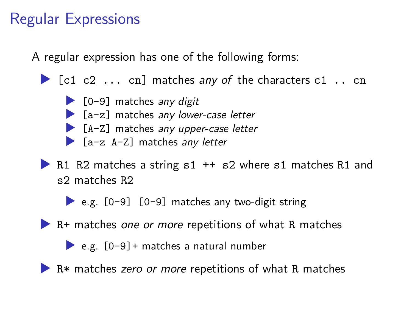# Regular Expressions

A regular expression has one of the following forms:

- ▶ [c1 c2 ... cn] matches *any of* the characters c1 .. cn
	- ▶ [0-9] matches *any digit* ▶ [a-z] matches *any lower-case letter* ▶ [A-Z] matches *any upper-case letter* ▶ [a-z A-Z] matches *any letter*
- ▶ R1 R2 matches a string s1 + s2 where s1 matches R1 and s2 matches R2
	- $\bullet$  e.g. [0-9] [0-9] matches any two-digit string
- ▶ R+ matches *one or more* repetitions of what R matches
	- $\triangleright$  e.g.  $[0-9]$  + matches a natural number
- ▶ R<sup>\*</sup> matches *zero or more* repetitions of what R matches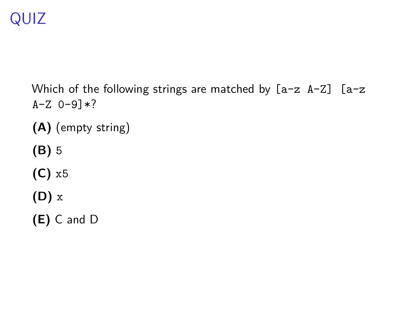# QUIZ

Which of the following strings are matched by [a-z A-Z] [a-z  $A-Z$  0-9] $*?$ 

- **(A)** (empty string)
- **(B)** 5
- **(C)** x5
- **(D)** x
- **(E)** C and D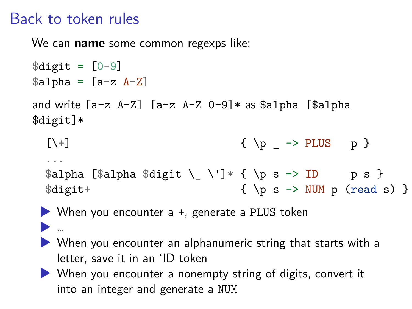# Back to token rules

▶ …

We can **name** some common regexps like:

```
\text{digit} = [0-9]$alpha = [a-z A-Z]and write [a-z A-Z] [a-z A-Z 0-9]* as $alpha [$alpha
$digit]*
  [\ \}] \{ \ p \ \rightarrow \ PLUS p \}...
 \alpha[$alpha $digit \_ \']* { \p s -> ID p s }
 \text{digit+} { \p s -> NUM p (read s) }
```


- ▶ When you encounter an alphanumeric string that starts with a letter, save it in an 'ID token
- ▶ When you encounter a nonempty string of digits, convert it into an integer and generate a NUM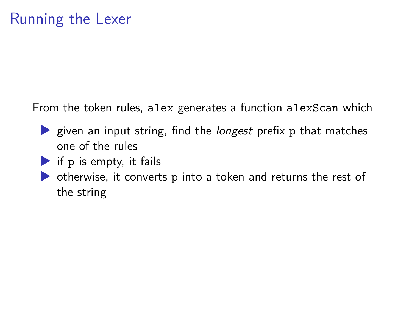From the token rules, alex generates a function alexScan which

- ▶ given an input string, find the *longest* prefix p that matches one of the rules
- $\blacktriangleright$  if p is empty, it fails
- ▶ otherwise, it converts p into a token and returns the rest of the string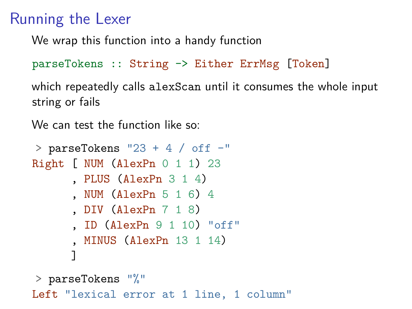# Running the Lexer

We wrap this function into a handy function

```
parseTokens :: String -> Either ErrMsg [Token]
```
which repeatedly calls alexScan until it consumes the whole input string or fails

We can test the function like so:

```
> parseTokens "23 + 4 / off -"
Right [ NUM (AlexPn 0 1 1) 23
      , PLUS (AlexPn 3 1 4)
      , NUM (AlexPn 5 1 6) 4
      , DIV (AlexPn 7 1 8)
      , ID (AlexPn 9 1 10) "off"
      , MINUS (AlexPn 13 1 14)
      ]
```
> parseTokens "%" Left "lexical error at 1 line, 1 column"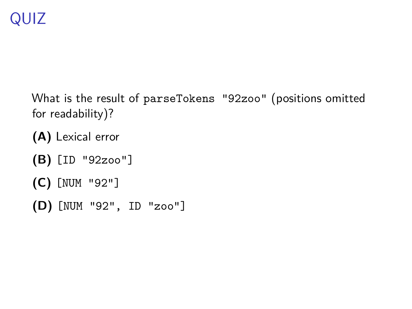- What is the result of parseTokens "92zoo" (positions omitted for readability)?
- **(A)** Lexical error
- **(B)** [ID "92zoo"]
- **(C)** [NUM "92"]
- **(D)** [NUM "92", ID "zoo"]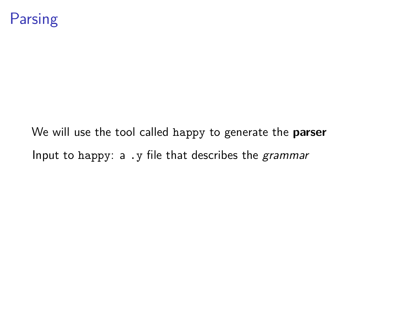We will use the tool called happy to generate the **parser** Input to happy: a .y file that describes the *grammar*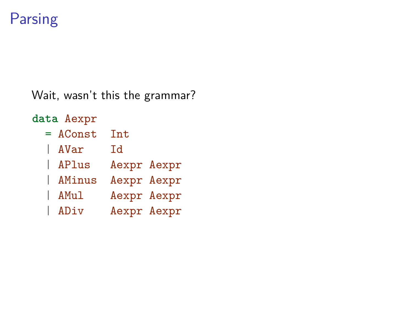# Parsing

Wait, wasn't this the grammar?

**data** Aexpr = AConst Int | AVar Id | APlus Aexpr Aexpr

- | AMinus Aexpr Aexpr
- AMul Aexpr Aexpr
- | ADiv Aexpr Aexpr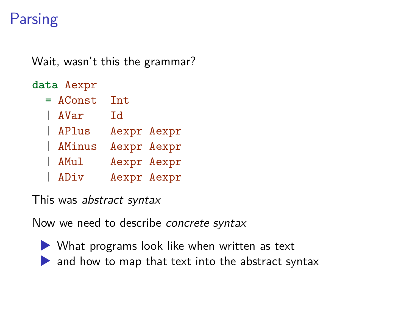# **Parsing**

Wait, wasn't this the grammar?

**data** Aexpr

| $=$ AConst | Int         |  |
|------------|-------------|--|
| AVar       | Id          |  |
| APlus      | Aexpr Aexpr |  |
| AMinus     | Aexpr Aexpr |  |
| AMul       | Aexpr Aexpr |  |
| ADiv       | Aexpr Aexpr |  |

This was *abstract syntax*

Now we need to describe *concrete syntax*

- 
- ▶ What programs look like when written as text ▶ and how to map that text into the abstract syntax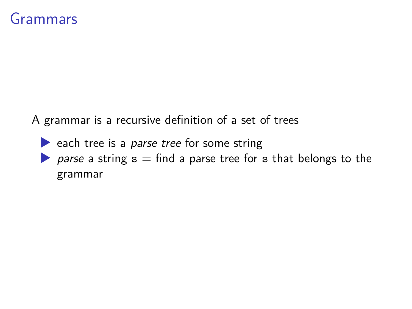#### Grammars

A grammar is a recursive definition of a set of trees

- ▶ each tree is a *parse tree* for some string
- ▶ *parse* a string s = find a parse tree for s that belongs to the grammar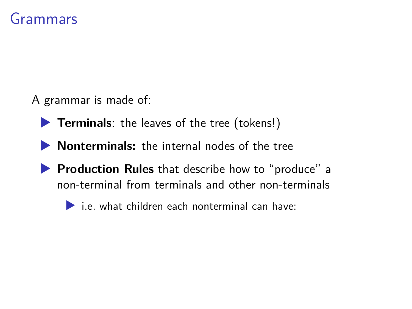#### Grammars

A grammar is made of:

- ▶ **Terminals**: the leaves of the tree (tokens!)
- ▶ **Nonterminals:** the internal nodes of the tree
- ▶ **Production Rules** that describe how to "produce" a non-terminal from terminals and other non-terminals
	- $\blacktriangleright$  i.e. what children each nonterminal can have: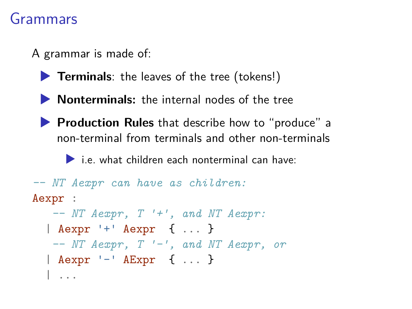#### Grammars

A grammar is made of:

- ▶ **Terminals**: the leaves of the tree (tokens!)
- ▶ **Nonterminals:** the internal nodes of the tree
- ▶ **Production Rules** that describe how to "produce" a non-terminal from terminals and other non-terminals

 $\blacktriangleright$  i.e. what children each nonterminal can have:

```
-- NT Aexpr can have as children:
Aexpr :
   -- NT Aexpr, T '+', and NT Aexpr:
  | Aexpr '+' Aexpr { ... }
   -- NT Aexpr, T '-', and NT Aexpr, or
  | Aexpr '-' AExpr { ... }
  | ...
```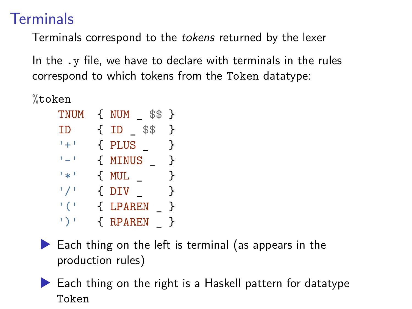# **Terminals**

Terminals correspond to the *tokens* returned by the lexer

In the .y file, we have to declare with terminals in the rules correspond to which tokens from the Token datatype:

%token

| <b>TNUM</b>               | $\{ NUM$ \$\$ | Ł |
|---------------------------|---------------|---|
| ΙD                        | $\{ID$ \$\$   | ł |
| $\mathfrak{t}_+$ (        | { PLUS        | ł |
| $\mathbf{L} = \mathbf{I}$ | { MINUS       | ł |
| ا پر آ                    | { MUL         | ł |
| 1 / I                     | $\{$ DIV      | ι |
| $^{\prime}$ ( $^{\prime}$ | { LPAREN      | ŀ |
| $\mapsto$                 | { RPAREN      | ļ |



 $\blacktriangleright$  Each thing on the left is terminal (as appears in the production rules)

▶ Each thing on the right is a Haskell pattern for datatype Token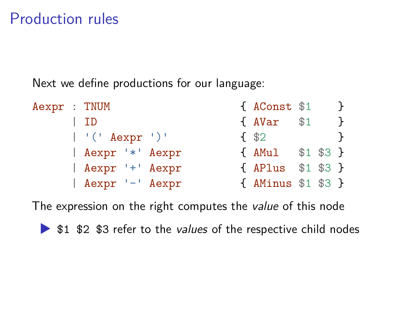# Production rules

Next we define productions for our language:

| Aexpr : TNUM |                   | { AConst \$1       |  |               |
|--------------|-------------------|--------------------|--|---------------|
|              | l ID              | { AVar \$1         |  | $\mathcal{F}$ |
|              | $ $ '(' Aexpr ')' | $\frac{1}{2}$      |  |               |
|              | Aexpr '*' Aexpr   | { AMul \$1 \$3 }   |  |               |
|              | Aexpr '+' Aexpr   | { APlus \$1 \$3 }  |  |               |
|              | Aexpr '-' Aexpr   | { AMinus \$1 \$3 } |  |               |

The expression on the right computes the *value* of this node

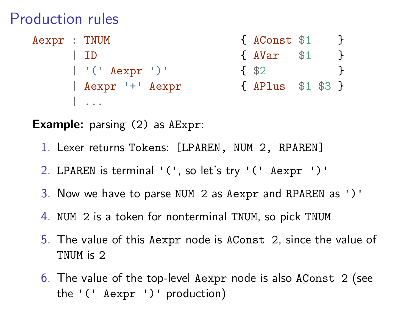# Production rules

| Aexpr : TNUM |                   | { AConst \$1      |     |  |
|--------------|-------------------|-------------------|-----|--|
|              | l TD              | f AVar            | \$1 |  |
|              | $ $ '(' Aexpr ')' | f \$2             |     |  |
|              | Aexpr '+' Aexpr   | { APlus \$1 \$3 } |     |  |
|              |                   |                   |     |  |

**Example:** parsing (2) as AExpr:

- 1. Lexer returns Tokens: [LPAREN, NUM 2, RPAREN]
- 2. LPAREN is terminal '(', so let's try '(' Aexpr ')'
- 3. Now we have to parse NUM 2 as Aexpr and RPAREN as ')'
- 4. NUM 2 is a token for nonterminal TNUM, so pick TNUM
- 5. The value of this Aexpr node is AConst 2, since the value of TNUM is 2
- 6. The value of the top-level Aexpr node is also AConst 2 (see the '(' Aexpr ')' production)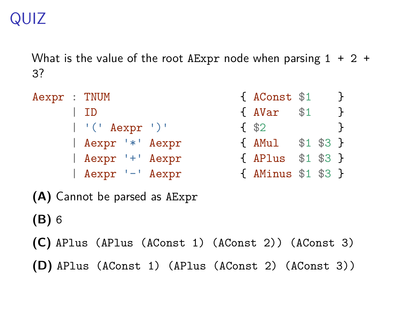# QUIZ

What is the value of the root AExpr node when parsing  $1 + 2 +$ 3?

|  |                                                                                                          |                 |                     | <sup>T</sup>                                                |
|--|----------------------------------------------------------------------------------------------------------|-----------------|---------------------|-------------------------------------------------------------|
|  |                                                                                                          |                 |                     | $\mathcal{F}$                                               |
|  |                                                                                                          |                 |                     | $\mathcal{F}$                                               |
|  |                                                                                                          |                 |                     |                                                             |
|  |                                                                                                          |                 |                     |                                                             |
|  |                                                                                                          |                 |                     |                                                             |
|  | Aexpr : TNUM<br>  ID<br>$ $ '(' Aexpr ')'<br>  Aexpr '*' Aexpr<br>  Aexpr '+' Aexpr<br>  Aexpr '-' Aexpr | { AVar<br>f \$2 | { AConst \$1<br>\$1 | { AMul \$1 \$3 }<br>{ APlus \$1 \$3 }<br>{ AMinus \$1 \$3 } |

**(A)** Cannot be parsed as AExpr

**(B)** 6

**(C)** APlus (APlus (AConst 1) (AConst 2)) (AConst 3)

**(D)** APlus (AConst 1) (APlus (AConst 2) (AConst 3))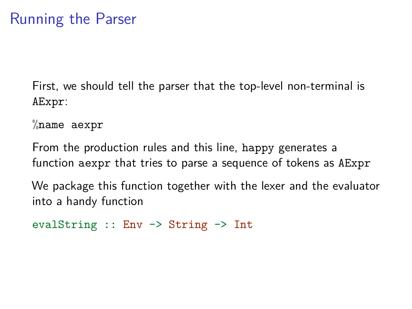First, we should tell the parser that the top-level non-terminal is AExpr:

 $\%$ name aexpr

From the production rules and this line, happy generates a function aexpr that tries to parse a sequence of tokens as AExpr

We package this function together with the lexer and the evaluator into a handy function

```
evalString :: Env -> String -> Int
```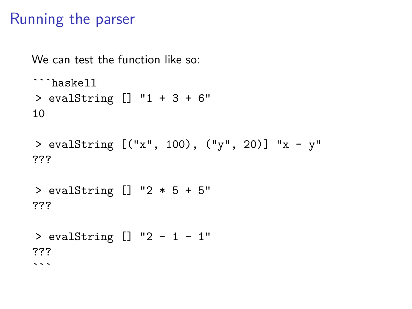# Running the parser

We can test the function like so:

```haskell > evalString [] "1 + 3 + 6" 10

```
> evalString [("x", 100), ("y", 20)] "x - y"
???
```
> evalString [] "2 \* 5 + 5" ???

> evalString [] "2 - 1 - 1" ???  $\sim$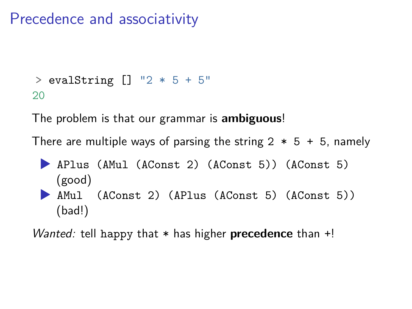# Precedence and associativity

```
> evalString [] "2 * 5 + 5"
20
```
The problem is that our grammar is **ambiguous**!

There are multiple ways of parsing the string  $2 * 5 + 5$ , namely

- ▶ APlus (AMul (AConst 2) (AConst 5)) (AConst 5) (good)
- ▶ AMul (AConst 2) (APlus (AConst 5) (AConst 5)) (bad!)

*Wanted:* tell happy that \* has higher **precedence** than +!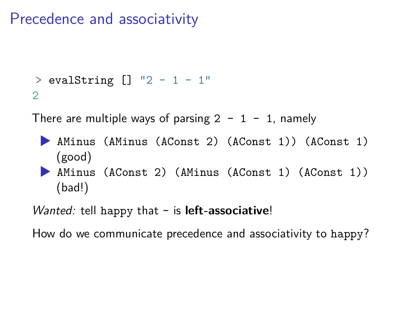# Precedence and associativity

```
> evalString [] "2 - 1 - 1"
2
```
There are multiple ways of parsing  $2 - 1 - 1$ , namely

- ▶ AMinus (AMinus (AConst 2) (AConst 1)) (AConst 1) (good)
- ▶ AMinus (AConst 2) (AMinus (AConst 1) (AConst 1)) (bad!)

*Wanted:* tell happy that - is **left-associative**!

How do we communicate precedence and associativity to happy?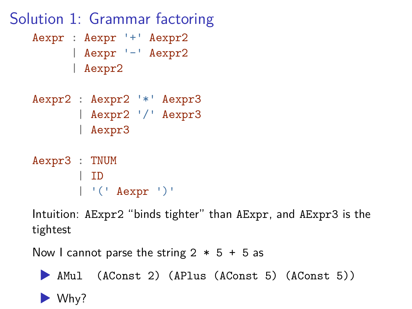

Intuition: AExpr2 "binds tighter" than AExpr, and AExpr3 is the tightest

Now I cannot parse the string  $2 * 5 + 5$  as

▶ AMul (AConst 2) (APlus (AConst 5) (AConst 5))